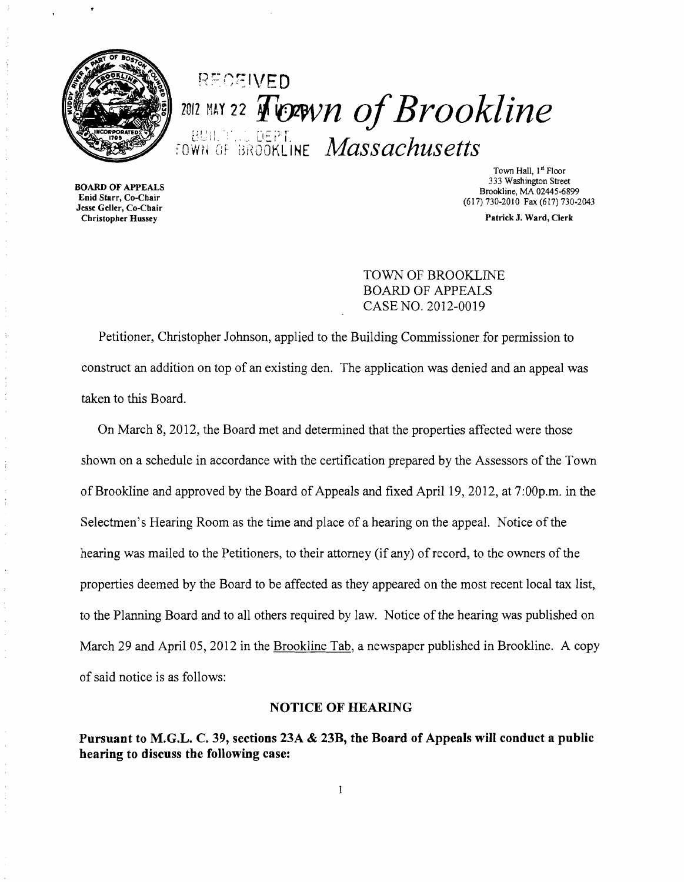

# n~-:,cr:IVED 2012 MAY 22 *F* CORVN of Brookline **BUILTING DEPT.**<br>FOWN OF BROOKLINE *Massachusetts*

BOARD OF APPEALS Enid Starr, Co-Chair Jesse Geller, Co-Chair<br>Christopher Hussey

Town Hall, 1<sup>st</sup> Floor 333 Washington Street Brookline, MA 02445-6899 (617) 730-2010 Fax (617) 730-2043

Patrick J. Ward, Clerk

TOWN OF BROOKLINE BOARD OF APPEALS CASE NO. 2012-0019

Petitioner, Christopher Johnson, applied to the Building Commissioner for permission to construct an addition on top of an existing den. The application was denied and an appeal was taken to this Board.

On March 8, 2012, the Board met and detennined that the properties affected were those shown on a schedule in accordance with the certification prepared by the Assessors of the Town of Brookline and approved by the Board of Appeals and fixed April 19, 2012, at 7:00p.m. in the Selectmen's Hearing Room as the time and place of a hearing on the appeal. Notice of the hearing was mailed to the Petitioners, to their attorney (if any) of record, to the owners of the properties deemed by the Board to be affected as they appeared on the most recent local tax list, to the Planning Board and to all others required by law. Notice of the hearing was published on March 29 and April 05, 2012 in the Brookline Tab, a newspaper published in Brookline. A copy of said notice is as follows:

#### NOTICE OF HEARING

Pursuant to M.G.L. C. 39, sections 23A & 23B, the Board of Appeals will conduct a public hearing to discuss the following case: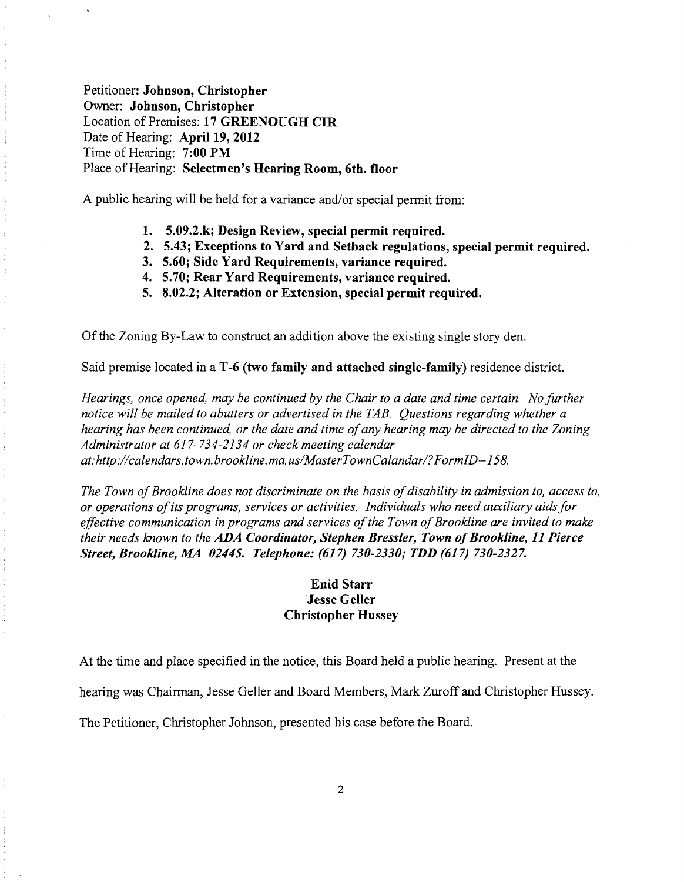Petitioner: Johnson, Christopher Owner: Johnson, Christopher Location of Premises: 17 GREENOUGH CIR Date of Hearing: April 19, 2012 Time of Hearing: 7:00 PM Place of Hearing: Selectmen's Hearing Room, 6th. floor

A public hearing will be held for a variance and/or special permit from:

- 1. 5.09.2.k; Design Review, special permit required.
- 2. 5.43; Exceptions to Yard and Setback regulations, special permit required.
- 3. 5.60; Side Yard Requirements, variance required.
- 4. 5.70; Rear Yard Requirements, variance required.
- 5. 8.02.2; Alteration or Extension, special permit required.

Of the Zoning By-Law to construct an addition above the existing single story den.

Said premise located in a T-6 (two family and attached single-family) residence district.

*Hearings, once opened, may be continued by the Chair to a date and time certain. No further notice will be mailed to abutters or advertised in the TAB. Questions regarding whether a hearing has been continued, or the date and time ofany hearing may be directed to the Zoning Administrator at* 617-734-2134 *or check meeting calendar at:http://calendars. town. brookline. ma. uslMasterTownCalandarl?FormID=*158.

*The Town of Brookline does not discriminate on the basis of disability in admission to, access to, or operations ofits programs, services or activities. Individuals who need auxiliary aidsfor effective communication in programs and services of the Town of Brookline are invited to make their needs known to the ADA Coordinator, Stephen Bressler, Town of Brookline, 11 Pierce Street, Brookline,* AM *02445. Telephone:* (617) *730-2330; TDD* (617) *730-2327.* 

### Enid Starr Jesse Geller Christopher Hussey

At the time and place specified in the notice, this Board held a public hearing. Present at the

hearing was Chairman, Jesse Geller and Board Members, Mark Zuroff and Christopher Hussey.

The Petitioner, Christopher Johnson, presented his case before the Board.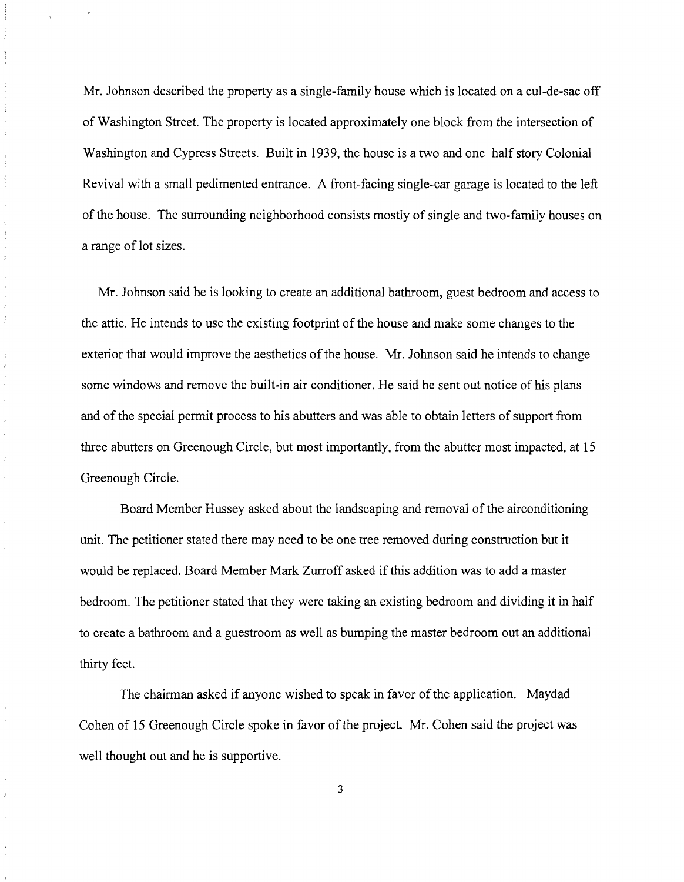Mr. Johnson described the property as a single-family house which is located on a cul-de-sac off of Washington Street. The property is located approximately one block from the intersection of Washington and Cypress Streets. Built in 1939, the house is a two and one half story Colonial Revival with a small pedimented entrance. A front-facing single-car garage is located to the left of the house. The surrounding neighborhood consists mostly of single and two-family houses on a range of lot sizes.

 $\frac{1}{2}$  $q \leftarrow q$ 

 $\frac{1}{2}$ 

 $\frac{1}{2}$ 

Mr. Johnson said he is looking to create an additional bathroom, guest bedroom and access to the attic. He intends to use the existing footprint of the house and make some changes to the exterior that would improve the aesthetics of the house. Mr. Johnson said he intends to change some windows and remove the built-in air conditioner. He said he sent out notice of his plans and of the special permit process to his abutters and was able to obtain letters of support from three abutters on Greenough Circle, but most importantly, from the abutter most impacted, at 15 Greenough Circle.

Board Member Hussey asked about the landscaping and removal of the airconditioning unit. The petitioner stated there may need to be one tree removed during construction but it would be replaced. Board Member Mark Zurroff asked if this addition was to add a master bedroom. The petitioner stated that they were taking an existing bedroom and dividing it in half to create a bathroom and a guestroom as well as bumping the master bedroom out an additional thirty feet.

The chairman asked if anyone wished to speak in favor of the application. Maydad Cohen of 15 Greenough Circle spoke in favor of the project. Mr. Cohen said the project was well thought out and he is supportive.

3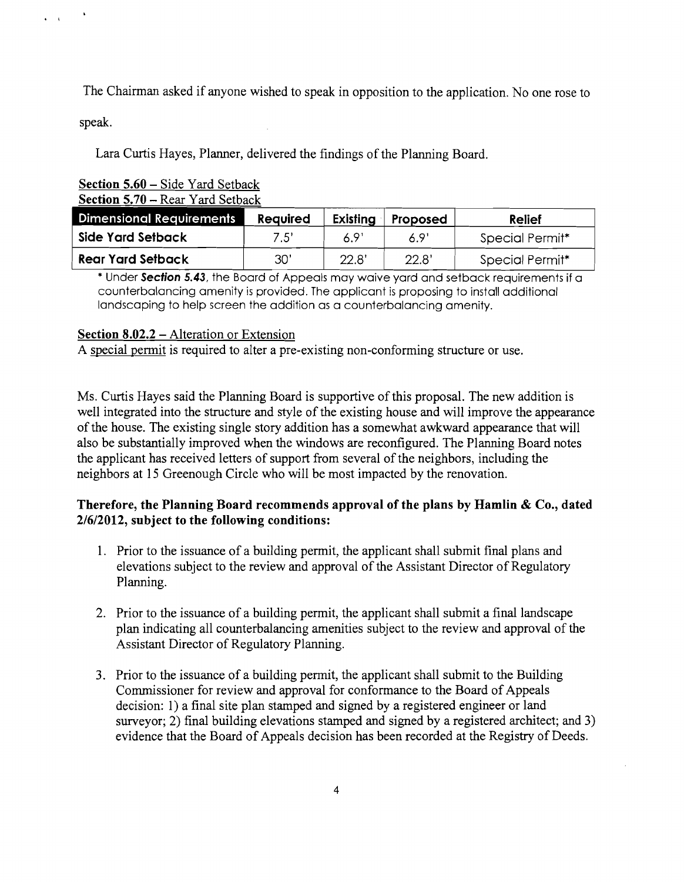The Chairman asked if anyone wished to speak in opposition to the application. No one rose to

speak.

 $\mathbf{r} = \mathbf{r}$ 

Lara Curtis Hayes, Planner, delivered the findings of the Planning Board.

|  |  | Section 5.60 – Side Yard Setback        |
|--|--|-----------------------------------------|
|  |  | <b>Section 5.70 – Rear Yard Setback</b> |

| <b>Dimensional Requirements</b> | <b>Required</b> | Existing | Proposed | Relief          |  |  |
|---------------------------------|-----------------|----------|----------|-----------------|--|--|
| Side Yard Setback               | 7.5'            | 6 9'     | 6.9"     | Special Permit* |  |  |
| <b>Rear Yard Setback</b>        | 30'             | 22.8'    | 22.8'    | Special Permit* |  |  |

\* Under Section 5.43, the Board of Appeals may waive yard and setback requirements if a counterbalancing amenity is provided. The applicant is proposing to install additional landscaping to help screen the addition as a counterbalancing amenity.

## Section  $8.02.2 -$  Alteration or Extension

A special permit is required to alter a pre-existing non-conforming structure or use.

Ms. Curtis Hayes said the Planning Board is supportive of this proposal. The new addition is well integrated into the structure and style of the existing house and will improve the appearance of the house. The existing single story addition has a somewhat awkward appearance that will also be substantially improved when the windows are reconfigured. The Planning Board notes the applicant has received letters of support from several of the neighbors, including the neighbors at 15 Greenough Circle who will be most impacted by the renovation.

### Therefore, the Planning Board recommends approval of the plans by Hamlin & Co., dated *2/6/2012,* subject to the following conditions:

- 1. Prior to the issuance of a building permit, the applicant shall submit final plans and elevations subject to the review and approval of the Assistant Director of Regulatory Planning.
- 2. Prior to the issuance of a building permit, the applicant shall submit a final landscape plan indicating all counterbalancing amenities subject to the review and approval of the Assistant Director of Regulatory Planning.
- 3. Prior to the issuance of a building permit, the applicant shall submit to the Building Commissioner for review and approval for conformance to the Board of Appeals decision: I) a final site plan stamped and signed by a registered engineer or land surveyor; 2) final building elevations stamped and signed by a registered architect; and 3) evidence that the Board of Appeals decision has been recorded at the Registry of Deeds.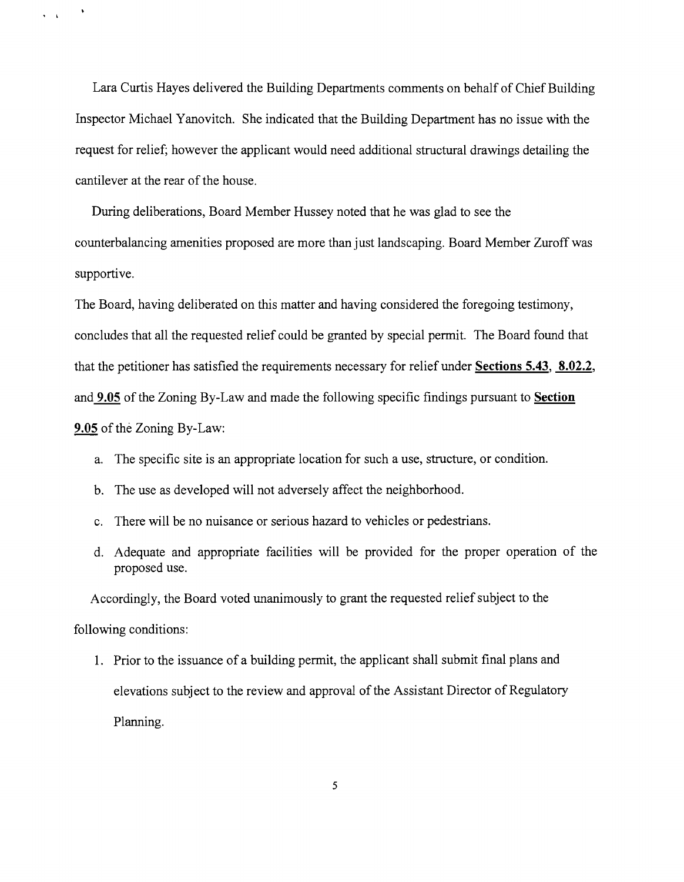Lara Curtis Hayes delivered the Building Departments comments on behalf of Chief Building Inspector Michael Yanovitch. She indicated that the Building Department has no issue with the request for relief; however the applicant would need additional structural drawings detailing the cantilever at the rear of the house.

During deliberations, Board Member Hussey noted that he was glad to see the counterbalancing amenities proposed are more than just landscaping. Board Member Zuroff was supportive.

The Board, having deliberated on this matter and having considered the foregoing testimony, concludes that all the requested relief could be granted by special permit. The Board found that that the petitioner has satisfied the requirements necessary for relief under **Sections 5.43, 8.02.2,**  and **9.05** of the Zoning By-Law and made the following specific findings pursuant to **Section 9.05** of the Zoning By-Law:

- a. The specific site is an appropriate location for such a use, structure, or condition.
- b. The use as developed will not adversely affect the neighborhood.
- c. There will be no nuisance or serious hazard to vehicles or pedestrians.
- d. Adequate and appropriate facilities will be provided for the proper operation of the proposed use.

Accordingly, the Board voted unanimously to grant the requested relief subject to the

following conditions:

 $\cdot$   $\cdot$ 

 $\bullet$ 

1. Prior to the issuance of a building permit, the applicant shall submit final plans and elevations subject to the review and approval of the Assistant Director of Regulatory Planning.